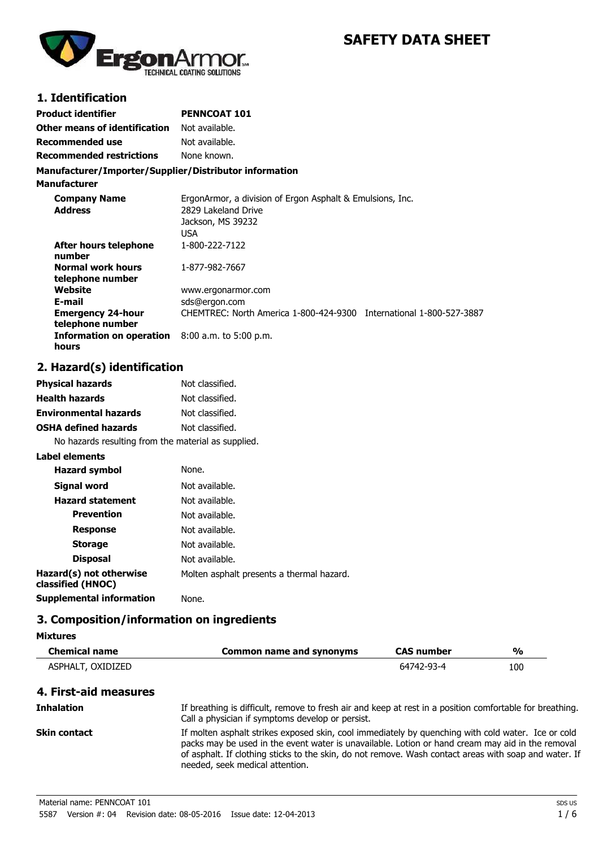

# **SAFETY DATA SHEET**

### **1. Identification**

| Product identifier              | <b>PENNCOAT 101</b> |
|---------------------------------|---------------------|
| Other means of identification   | Not available.      |
| Recommended use                 | Not available.      |
| <b>Recommended restrictions</b> | None known.         |

#### **Manufacturer/Importer/Supplier/Distributor information**

**Manufacturer**

| <b>Company Name</b><br><b>Address</b>        | ErgonArmor, a division of Ergon Asphalt & Emulsions, Inc.<br>2829 Lakeland Drive<br>Jackson, MS 39232<br><b>USA</b> |  |
|----------------------------------------------|---------------------------------------------------------------------------------------------------------------------|--|
| After hours telephone<br>number              | 1-800-222-7122                                                                                                      |  |
| <b>Normal work hours</b><br>telephone number | 1-877-982-7667                                                                                                      |  |
| Website                                      | www.ergonarmor.com                                                                                                  |  |
| E-mail                                       | sds@ergon.com                                                                                                       |  |
| <b>Emergency 24-hour</b><br>telephone number | CHEMTREC: North America 1-800-424-9300 International 1-800-527-3887                                                 |  |
| Information on operation<br>hours            | $8:00$ a.m. to 5:00 p.m.                                                                                            |  |

# **2. Hazard(s) identification**

| <b>Physical hazards</b>                             | Not classified.                           |
|-----------------------------------------------------|-------------------------------------------|
| <b>Health hazards</b>                               | Not classified.                           |
| <b>Environmental hazards</b>                        | Not classified.                           |
| <b>OSHA defined hazards</b>                         | Not classified.                           |
| No hazards resulting from the material as supplied. |                                           |
| Label elements                                      |                                           |
| <b>Hazard symbol</b>                                | None.                                     |
| Signal word                                         | Not available.                            |
| <b>Hazard statement</b>                             | Not available.                            |
| <b>Prevention</b>                                   | Not available.                            |
| <b>Response</b>                                     | Not available.                            |
| <b>Storage</b>                                      | Not available.                            |
| <b>Disposal</b>                                     | Not available.                            |
| Hazard(s) not otherwise<br>classified (HNOC)        | Molten asphalt presents a thermal hazard. |

**Supplemental information** None.

## **3. Composition/information on ingredients**

| <b>Chemical name</b>  | <b>Common name and synonyms</b>                                                                                                                                                                                                                                                                                                                    | <b>CAS number</b> | $\frac{0}{0}$ |
|-----------------------|----------------------------------------------------------------------------------------------------------------------------------------------------------------------------------------------------------------------------------------------------------------------------------------------------------------------------------------------------|-------------------|---------------|
| ASPHALT, OXIDIZED     |                                                                                                                                                                                                                                                                                                                                                    | 64742-93-4        | 100           |
| 4. First-aid measures |                                                                                                                                                                                                                                                                                                                                                    |                   |               |
| <b>Inhalation</b>     | If breathing is difficult, remove to fresh air and keep at rest in a position comfortable for breathing.<br>Call a physician if symptoms develop or persist.                                                                                                                                                                                       |                   |               |
| <b>Skin contact</b>   | If molten asphalt strikes exposed skin, cool immediately by quenching with cold water. Ice or cold<br>packs may be used in the event water is unavailable. Lotion or hand cream may aid in the removal<br>of asphalt. If clothing sticks to the skin, do not remove. Wash contact areas with soap and water. If<br>needed, seek medical attention. |                   |               |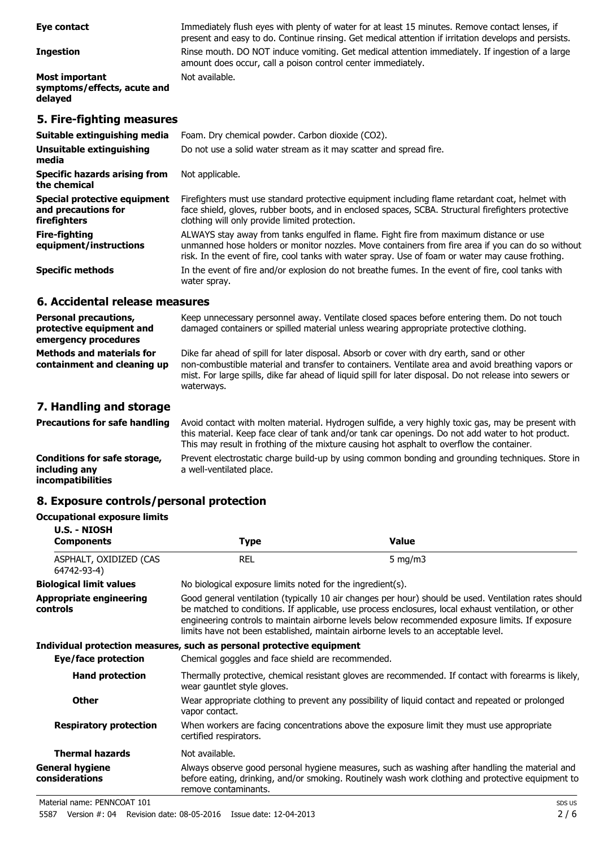| Eye contact                                                         | Immediately flush eyes with plenty of water for at least 15 minutes. Remove contact lenses, if<br>present and easy to do. Continue rinsing. Get medical attention if irritation develops and persists.                                                                                           |
|---------------------------------------------------------------------|--------------------------------------------------------------------------------------------------------------------------------------------------------------------------------------------------------------------------------------------------------------------------------------------------|
| <b>Ingestion</b>                                                    | Rinse mouth. DO NOT induce vomiting. Get medical attention immediately. If ingestion of a large<br>amount does occur, call a poison control center immediately.                                                                                                                                  |
| Most important<br>symptoms/effects, acute and<br>delayed            | Not available.                                                                                                                                                                                                                                                                                   |
| 5. Fire-fighting measures                                           |                                                                                                                                                                                                                                                                                                  |
| Suitable extinguishing media                                        | Foam. Dry chemical powder. Carbon dioxide (CO2).                                                                                                                                                                                                                                                 |
| Unsuitable extinguishing<br>media                                   | Do not use a solid water stream as it may scatter and spread fire.                                                                                                                                                                                                                               |
| Specific hazards arising from<br>the chemical                       | Not applicable.                                                                                                                                                                                                                                                                                  |
| Special protective equipment<br>and precautions for<br>firefighters | Firefighters must use standard protective equipment including flame retardant coat, helmet with<br>face shield, gloves, rubber boots, and in enclosed spaces, SCBA. Structural firefighters protective<br>clothing will only provide limited protection.                                         |
| Fire-fighting<br>equipment/instructions                             | ALWAYS stay away from tanks engulfed in flame. Fight fire from maximum distance or use<br>unmanned hose holders or monitor nozzles. Move containers from fire area if you can do so without<br>risk. In the event of fire, cool tanks with water spray. Use of foam or water may cause frothing. |
| <b>Specific methods</b>                                             | In the event of fire and/or explosion do not breathe fumes. In the event of fire, cool tanks with<br>water spray.                                                                                                                                                                                |

#### **6. Accidental release measures**

| <b>Personal precautions,</b><br>protective equipment and<br>emergency procedures | Keep unnecessary personnel away. Ventilate closed spaces before entering them. Do not touch<br>damaged containers or spilled material unless wearing appropriate protective clothing.                                                                                                                                    |
|----------------------------------------------------------------------------------|--------------------------------------------------------------------------------------------------------------------------------------------------------------------------------------------------------------------------------------------------------------------------------------------------------------------------|
| <b>Methods and materials for</b><br>containment and cleaning up                  | Dike far ahead of spill for later disposal. Absorb or cover with dry earth, sand or other<br>non-combustible material and transfer to containers. Ventilate area and avoid breathing vapors or<br>mist. For large spills, dike far ahead of liquid spill for later disposal. Do not release into sewers or<br>waterways. |

# **7. Handling and storage**

**Precautions for safe handling** Avoid contact with molten material. Hydrogen sulfide, a very highly toxic gas, may be present with this material. Keep face clear of tank and/or tank car openings. Do not add water to hot product. This may result in frothing of the mixture causing hot asphalt to overflow the container. **Conditions for safe storage, including any** Prevent electrostatic charge build-up by using common bonding and grounding techniques. Store in a well-ventilated place.

**incompatibilities**

# **8. Exposure controls/personal protection**

## **Occupational exposure limits**

| <b>U.S. - NIOSH</b><br><b>Components</b>   | Type                                                                                                                                                                                                                                                                                                                                                                                                   | <b>Value</b>                                                                                                                                                                                        |
|--------------------------------------------|--------------------------------------------------------------------------------------------------------------------------------------------------------------------------------------------------------------------------------------------------------------------------------------------------------------------------------------------------------------------------------------------------------|-----------------------------------------------------------------------------------------------------------------------------------------------------------------------------------------------------|
| ASPHALT, OXIDIZED (CAS<br>64742-93-4)      | <b>REL</b>                                                                                                                                                                                                                                                                                                                                                                                             | 5 mg/m $3$                                                                                                                                                                                          |
| <b>Biological limit values</b>             | No biological exposure limits noted for the ingredient(s).                                                                                                                                                                                                                                                                                                                                             |                                                                                                                                                                                                     |
| <b>Appropriate engineering</b><br>controls | Good general ventilation (typically 10 air changes per hour) should be used. Ventilation rates should<br>be matched to conditions. If applicable, use process enclosures, local exhaust ventilation, or other<br>engineering controls to maintain airborne levels below recommended exposure limits. If exposure<br>limits have not been established, maintain airborne levels to an acceptable level. |                                                                                                                                                                                                     |
|                                            | Individual protection measures, such as personal protective equipment                                                                                                                                                                                                                                                                                                                                  |                                                                                                                                                                                                     |
| Eye/face protection                        | Chemical goggles and face shield are recommended.                                                                                                                                                                                                                                                                                                                                                      |                                                                                                                                                                                                     |
| <b>Hand protection</b>                     | wear gauntlet style gloves.                                                                                                                                                                                                                                                                                                                                                                            | Thermally protective, chemical resistant gloves are recommended. If contact with forearms is likely,                                                                                                |
| <b>Other</b>                               | vapor contact.                                                                                                                                                                                                                                                                                                                                                                                         | Wear appropriate clothing to prevent any possibility of liquid contact and repeated or prolonged                                                                                                    |
| <b>Respiratory protection</b>              | certified respirators.                                                                                                                                                                                                                                                                                                                                                                                 | When workers are facing concentrations above the exposure limit they must use appropriate                                                                                                           |
| <b>Thermal hazards</b>                     | Not available.                                                                                                                                                                                                                                                                                                                                                                                         |                                                                                                                                                                                                     |
| <b>General hygiene</b><br>considerations   | remove contaminants.                                                                                                                                                                                                                                                                                                                                                                                   | Always observe good personal hygiene measures, such as washing after handling the material and<br>before eating, drinking, and/or smoking. Routinely wash work clothing and protective equipment to |
|                                            |                                                                                                                                                                                                                                                                                                                                                                                                        |                                                                                                                                                                                                     |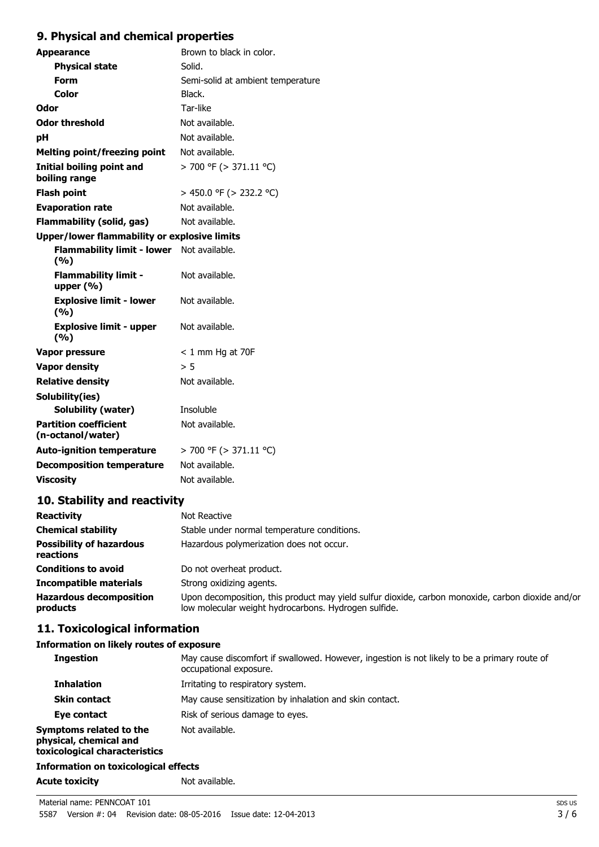# **9. Physical and chemical properties**

| Brown to black in color.                            |
|-----------------------------------------------------|
| Solid.                                              |
| Semi-solid at ambient temperature                   |
| Black.                                              |
| Tar-like                                            |
| Not available.                                      |
| Not available.                                      |
| Not available.                                      |
| $>$ 700 °F ( $>$ 371.11 °C)                         |
| > 450.0 °F (> 232.2 °C)                             |
| Not available.                                      |
| Not available.                                      |
| Upper/lower flammability or explosive limits        |
| <b>Flammability limit - lower</b><br>Not available. |
| Not available.                                      |
| Not available.                                      |
| Not available.                                      |
| $< 1$ mm Hg at 70F                                  |
| > 5                                                 |
| Not available.                                      |
|                                                     |
| Insoluble                                           |
| Not available.                                      |
| $>$ 700 °F ( $>$ 371.11 °C)                         |
| Not available.                                      |
| Not available.                                      |
|                                                     |

# **10. Stability and reactivity**

| <b>Reactivity</b>                            | Not Reactive                                                                                                                                              |
|----------------------------------------------|-----------------------------------------------------------------------------------------------------------------------------------------------------------|
| <b>Chemical stability</b>                    | Stable under normal temperature conditions.                                                                                                               |
| <b>Possibility of hazardous</b><br>reactions | Hazardous polymerization does not occur.                                                                                                                  |
| <b>Conditions to avoid</b>                   | Do not overheat product.                                                                                                                                  |
| <b>Incompatible materials</b>                | Strong oxidizing agents.                                                                                                                                  |
| <b>Hazardous decomposition</b><br>products   | Upon decomposition, this product may yield sulfur dioxide, carbon monoxide, carbon dioxide and/or<br>low molecular weight hydrocarbons. Hydrogen sulfide. |

# **11. Toxicological information**

## **Information on likely routes of exposure**

| <b>Ingestion</b>                                                                   | May cause discomfort if swallowed. However, ingestion is not likely to be a primary route of<br>occupational exposure. |
|------------------------------------------------------------------------------------|------------------------------------------------------------------------------------------------------------------------|
| <b>Inhalation</b>                                                                  | Irritating to respiratory system.                                                                                      |
| <b>Skin contact</b>                                                                | May cause sensitization by inhalation and skin contact.                                                                |
| Eye contact                                                                        | Risk of serious damage to eyes.                                                                                        |
| Symptoms related to the<br>physical, chemical and<br>toxicological characteristics | Not available.                                                                                                         |
| <b>Information on toxicological effects</b>                                        |                                                                                                                        |
| <b>Acute toxicity</b>                                                              | Not available.                                                                                                         |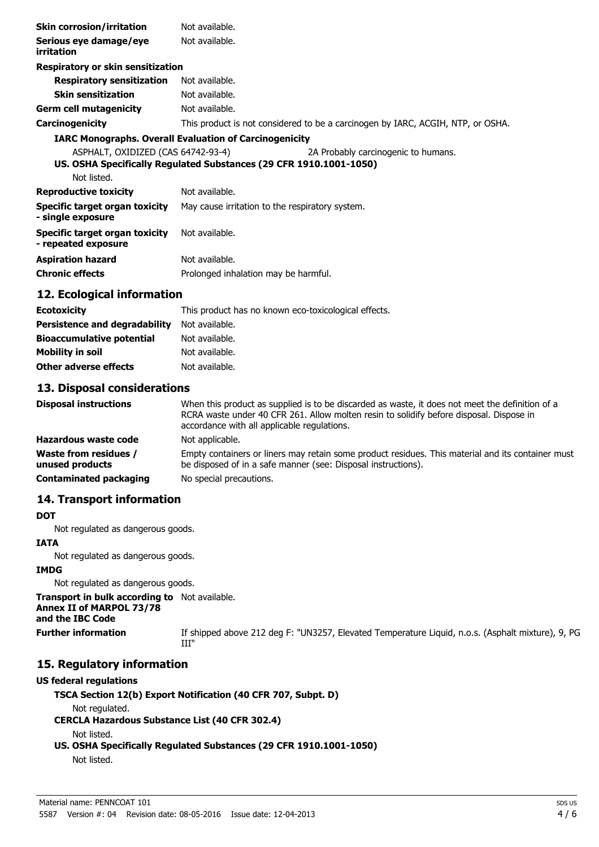| <b>Skin corrosion/irritation</b>                      | Not available.                                                                                            |
|-------------------------------------------------------|-----------------------------------------------------------------------------------------------------------|
| Serious eye damage/eye<br>irritation                  | Not available.                                                                                            |
| Respiratory or skin sensitization                     |                                                                                                           |
| <b>Respiratory sensitization</b>                      | Not available.                                                                                            |
| <b>Skin sensitization</b>                             | Not available.                                                                                            |
| Germ cell mutagenicity                                | Not available.                                                                                            |
| Carcinogenicity                                       | This product is not considered to be a carcinogen by IARC, ACGIH, NTP, or OSHA.                           |
|                                                       | <b>IARC Monographs. Overall Evaluation of Carcinogenicity</b>                                             |
| ASPHALT, OXIDIZED (CAS 64742-93-4)<br>Not listed.     | 2A Probably carcinogenic to humans.<br>US. OSHA Specifically Regulated Substances (29 CFR 1910.1001-1050) |
| <b>Reproductive toxicity</b>                          | Not available.                                                                                            |
| Specific target organ toxicity<br>- single exposure   | May cause irritation to the respiratory system.                                                           |
| Specific target organ toxicity<br>- repeated exposure | Not available.                                                                                            |
| <b>Aspiration hazard</b>                              | Not available.                                                                                            |
| <b>Chronic effects</b>                                | Prolonged inhalation may be harmful.                                                                      |

#### **12. Ecological information**

| <b>Ecotoxicity</b>                   | This product has no known eco-toxicological effects. |
|--------------------------------------|------------------------------------------------------|
| <b>Persistence and degradability</b> | Not available.                                       |
| <b>Bioaccumulative potential</b>     | Not available.                                       |
| Mobility in soil                     | Not available.                                       |
| <b>Other adverse effects</b>         | Not available.                                       |

#### **13. Disposal considerations**

| <b>Disposal instructions</b>                    | When this product as supplied is to be discarded as waste, it does not meet the definition of a<br>RCRA waste under 40 CFR 261. Allow molten resin to solidify before disposal. Dispose in<br>accordance with all applicable regulations. |
|-------------------------------------------------|-------------------------------------------------------------------------------------------------------------------------------------------------------------------------------------------------------------------------------------------|
| Hazardous waste code                            | Not applicable.                                                                                                                                                                                                                           |
| <b>Waste from residues /</b><br>unused products | Empty containers or liners may retain some product residues. This material and its container must<br>be disposed of in a safe manner (see: Disposal instructions).                                                                        |
| <b>Contaminated packaging</b>                   | No special precautions.                                                                                                                                                                                                                   |

### **14. Transport information**

#### **DOT**

Not regulated as dangerous goods.

#### **IATA**

Not regulated as dangerous goods.

#### **IMDG**

Not regulated as dangerous goods.

**Transport in bulk according to** Not available. **Annex II of MARPOL 73/78 and the IBC Code**

Further information If shipped above 212 deg F: "UN3257, Elevated Temperature Liquid, n.o.s. (Asphalt mixture), 9, PG III"

### **15. Regulatory information**

#### **US federal regulations**

**TSCA Section 12(b) Export Notification (40 CFR 707, Subpt. D)**

Not regulated.

**CERCLA Hazardous Substance List (40 CFR 302.4)**

Not listed.

## **US. OSHA Specifically Regulated Substances (29 CFR 1910.1001-1050)**

Not listed.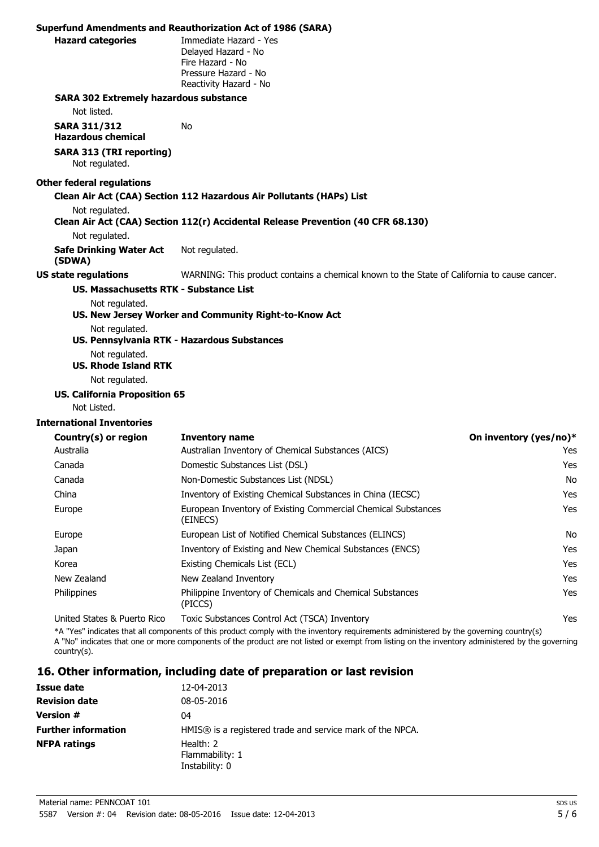|                                                   | <b>Superfund Amendments and Reauthorization Act of 1986 (SARA)</b>                                                                                                                                                                                                                         |                        |
|---------------------------------------------------|--------------------------------------------------------------------------------------------------------------------------------------------------------------------------------------------------------------------------------------------------------------------------------------------|------------------------|
| <b>Hazard categories</b>                          | Immediate Hazard - Yes<br>Delayed Hazard - No<br>Fire Hazard - No<br>Pressure Hazard - No<br>Reactivity Hazard - No                                                                                                                                                                        |                        |
| <b>SARA 302 Extremely hazardous substance</b>     |                                                                                                                                                                                                                                                                                            |                        |
| Not listed.                                       |                                                                                                                                                                                                                                                                                            |                        |
| <b>SARA 311/312</b><br><b>Hazardous chemical</b>  | No.                                                                                                                                                                                                                                                                                        |                        |
| <b>SARA 313 (TRI reporting)</b><br>Not regulated. |                                                                                                                                                                                                                                                                                            |                        |
| <b>Other federal regulations</b>                  |                                                                                                                                                                                                                                                                                            |                        |
|                                                   | Clean Air Act (CAA) Section 112 Hazardous Air Pollutants (HAPs) List                                                                                                                                                                                                                       |                        |
| Not regulated.                                    | Clean Air Act (CAA) Section 112(r) Accidental Release Prevention (40 CFR 68.130)                                                                                                                                                                                                           |                        |
| Not regulated.                                    |                                                                                                                                                                                                                                                                                            |                        |
| <b>Safe Drinking Water Act</b><br>(SDWA)          | Not regulated.                                                                                                                                                                                                                                                                             |                        |
| <b>US state regulations</b>                       | WARNING: This product contains a chemical known to the State of California to cause cancer.                                                                                                                                                                                                |                        |
| US. Massachusetts RTK - Substance List            |                                                                                                                                                                                                                                                                                            |                        |
| Not regulated.                                    |                                                                                                                                                                                                                                                                                            |                        |
| Not regulated.                                    | US. New Jersey Worker and Community Right-to-Know Act                                                                                                                                                                                                                                      |                        |
|                                                   | US. Pennsylvania RTK - Hazardous Substances                                                                                                                                                                                                                                                |                        |
| Not regulated.<br><b>US. Rhode Island RTK</b>     |                                                                                                                                                                                                                                                                                            |                        |
| Not regulated.                                    |                                                                                                                                                                                                                                                                                            |                        |
| <b>US. California Proposition 65</b>              |                                                                                                                                                                                                                                                                                            |                        |
| Not Listed.                                       |                                                                                                                                                                                                                                                                                            |                        |
| <b>International Inventories</b>                  |                                                                                                                                                                                                                                                                                            |                        |
| Country(s) or region                              | <b>Inventory name</b>                                                                                                                                                                                                                                                                      | On inventory (yes/no)* |
| Australia                                         | Australian Inventory of Chemical Substances (AICS)                                                                                                                                                                                                                                         | Yes                    |
| Canada                                            | Domestic Substances List (DSL)                                                                                                                                                                                                                                                             | Yes                    |
| Canada                                            | Non-Domestic Substances List (NDSL)                                                                                                                                                                                                                                                        | No.                    |
| China                                             | Inventory of Existing Chemical Substances in China (IECSC)                                                                                                                                                                                                                                 | Yes                    |
| Europe                                            | European Inventory of Existing Commercial Chemical Substances<br>(EINECS)                                                                                                                                                                                                                  | Yes                    |
| Europe                                            | European List of Notified Chemical Substances (ELINCS)                                                                                                                                                                                                                                     | No.                    |
| Japan                                             | Inventory of Existing and New Chemical Substances (ENCS)                                                                                                                                                                                                                                   | Yes                    |
| Korea                                             | Existing Chemicals List (ECL)                                                                                                                                                                                                                                                              | Yes                    |
| New Zealand                                       | New Zealand Inventory                                                                                                                                                                                                                                                                      | Yes                    |
| Philippines                                       | Philippine Inventory of Chemicals and Chemical Substances<br>(PICCS)                                                                                                                                                                                                                       | Yes                    |
| United States & Puerto Rico                       | Toxic Substances Control Act (TSCA) Inventory                                                                                                                                                                                                                                              | Yes                    |
| $country(s)$ .                                    | *A "Yes" indicates that all components of this product comply with the inventory requirements administered by the governing country(s)<br>A "No" indicates that one or more components of the product are not listed or exempt from listing on the inventory administered by the governing |                        |
|                                                   | 16. Other information, including date of preparation or last revision                                                                                                                                                                                                                      |                        |

| Issue date                 | 12-04-2013                                                |
|----------------------------|-----------------------------------------------------------|
| <b>Revision date</b>       | 08-05-2016                                                |
| <b>Version #</b>           | 04                                                        |
| <b>Further information</b> | HMIS® is a registered trade and service mark of the NPCA. |
| <b>NFPA ratings</b>        | Health: 2<br>Flammability: 1<br>Instability: 0            |